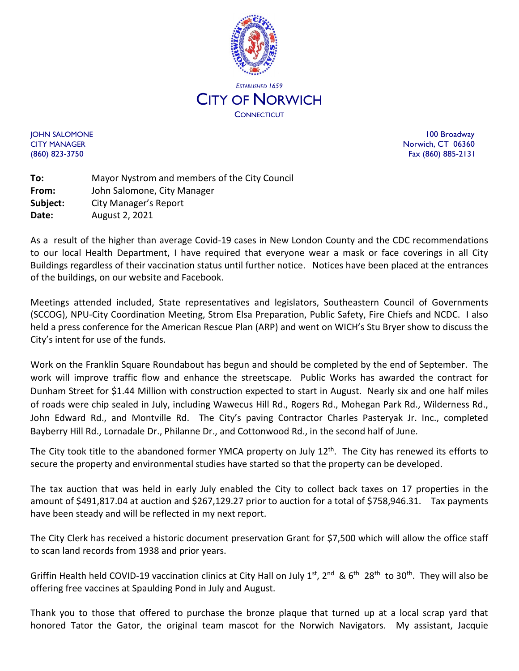

JOHN SALOMONE 100 Broadway CITY MANAGER Norwich, CT 06360 (860) 823-3750 Fax (860) 885-2131

**To:** Mayor Nystrom and members of the City Council **From:** John Salomone, City Manager **Subject:** City Manager's Report **Date:** August 2, 2021

As a result of the higher than average Covid-19 cases in New London County and the CDC recommendations to our local Health Department, I have required that everyone wear a mask or face coverings in all City Buildings regardless of their vaccination status until further notice. Notices have been placed at the entrances of the buildings, on our website and Facebook.

Meetings attended included, State representatives and legislators, Southeastern Council of Governments (SCCOG), NPU-City Coordination Meeting, Strom Elsa Preparation, Public Safety, Fire Chiefs and NCDC. I also held a press conference for the American Rescue Plan (ARP) and went on WICH's Stu Bryer show to discuss the City's intent for use of the funds.

Work on the Franklin Square Roundabout has begun and should be completed by the end of September. The work will improve traffic flow and enhance the streetscape. Public Works has awarded the contract for Dunham Street for \$1.44 Million with construction expected to start in August. Nearly six and one half miles of roads were chip sealed in July, including Wawecus Hill Rd., Rogers Rd., Mohegan Park Rd., Wilderness Rd., John Edward Rd., and Montville Rd. The City's paving Contractor Charles Pasteryak Jr. Inc., completed Bayberry Hill Rd., Lornadale Dr., Philanne Dr., and Cottonwood Rd., in the second half of June.

The City took title to the abandoned former YMCA property on July 12<sup>th</sup>. The City has renewed its efforts to secure the property and environmental studies have started so that the property can be developed.

The tax auction that was held in early July enabled the City to collect back taxes on 17 properties in the amount of \$491,817.04 at auction and \$267,129.27 prior to auction for a total of \$758,946.31. Tax payments have been steady and will be reflected in my next report.

The City Clerk has received a historic document preservation Grant for \$7,500 which will allow the office staff to scan land records from 1938 and prior years.

Griffin Health held COVID-19 vaccination clinics at City Hall on July 1<sup>st</sup>, 2<sup>nd</sup> & 6<sup>th</sup> 28<sup>th</sup> to 30<sup>th</sup>. They will also be offering free vaccines at Spaulding Pond in July and August.

Thank you to those that offered to purchase the bronze plaque that turned up at a local scrap yard that honored Tator the Gator, the original team mascot for the Norwich Navigators. My assistant, Jacquie